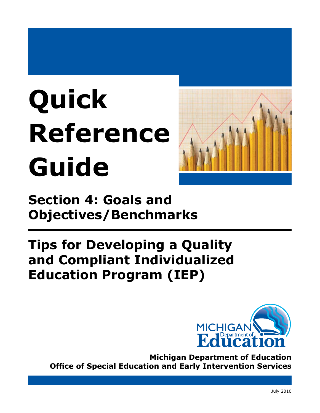# **Quick Reference Guide**



**Section 4: Goals and Objectives/Benchmarks** 

# **Tips for Developing a Quality and Compliant Individualized Education Program (IEP)**



**Michigan Department of Education Office of Special Education and Early Intervention Services**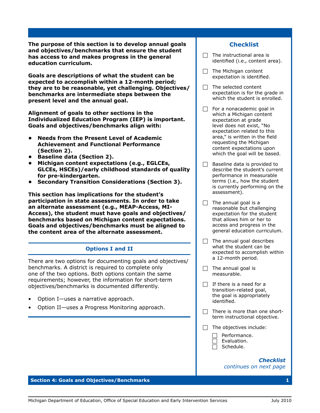**The purpose of this section is to develop annual goals and objectives/benchmarks that ensure the student has access to and makes progress in the general education curriculum.**

**Goals are descriptions of what the student can be expected to accomplish within a 12-month period; they are to be reasonable, yet challenging. Objectives/ benchmarks are intermediate steps between the present level and the annual goal.**

**Alignment of goals to other sections in the Individualized Education Program (IEP) is important. Goals and objectives/benchmarks align with:**

- **• Needs from the Present Level of Academic Achievement and Functional Performance (Section 2).**
- **• Baseline data (Section 2).**
- **• Michigan content expectations (e.g., EGLCEs, GLCEs, HSCEs)/early childhood standards of quality for pre-kindergarten.**
- **• Secondary Transition Considerations (Section 3).**

**This section has implications for the student's participation in state assessments. In order to take an alternate assessment (e.g., MEAP-Access, MI-Access), the student must have goals and objectives/ benchmarks based on Michigan content expectations. Goals and objectives/benchmarks must be aligned to the content area of the alternate assessment.**

# **Options I and II**

There are two options for documenting goals and objectives/ benchmarks. A district is required to complete only one of the two options. Both options contain the same requirements; however, the information for short-term objectives/benchmarks is documented differently.

- Option I—uses a narrative approach.
- Option II—uses a Progress Monitoring approach.

## **Checklist**

- $\Box$  The instructional area is identified (i.e., content area).
- $\Box$  The Michigan content expectation is identified.
- $\Box$  The selected content expectation is for the grade in which the student is enrolled.
- $\Box$  For a nonacademic goal in which a Michigan content expectation at grade level does not exist, "No expectation related to this area," is written in the field requesting the Michigan content expectations upon which the goal will be based.
- $\Box$  Baseline data is provided to describe the student's current performance in measurable terms (i.e., how the student is currently performing on the assessment).
- $\Box$  The annual goal is a reasonable but challenging expectation for the student that allows him or her to access and progress in the general education curriculum.
- $\Box$  The annual goal describes what the student can be expected to accomplish within a 12-month period.
- $\Box$  The annual goal is measurable.
- $\Box$  If there is a need for a transition-related goal, the goal is appropriately identified.
- $\Box$  There is more than one shortterm instructional objective.
- $\Box$  The objectives include:

Performance. Evaluation. Schedule.

#### *Checklist continues on next page*

#### **Section 4: Goals and Objectives/Benchmarks 1**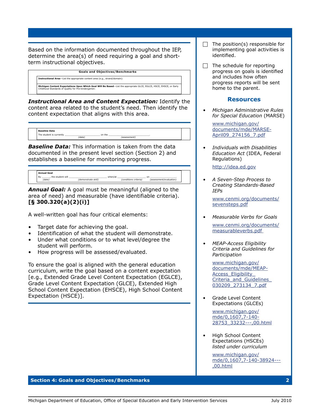Based on the information documented throughout the IEP, determine the area(s) of need requiring a goal and shortterm instructional objectives.

*p*  **Goals and Objectives/Benchmarks**

**Instructional Area**—List the appropriate content area (e.g., strand/domain):

#### **Michigan Content Expectations Upon Which Goal Will Be Based**—List the appropriate GLCE, EGLCE, HSCE, EHSCE, or Early<br>Childhood Standards of Quality for Pre-kinderqarten:

*Instructional Area and Content Expectation:* Identify the content area related to the student's need. Then identify the content expectation that aligns with this area.

| <b>Baseline Data</b>     |       |        |              |  |
|--------------------------|-------|--------|--------------|--|
| The student is currently | 'data | on the | (assessment) |  |

*Baseline Data:* This information is taken from the data documented in the present level section (Section 2) and establishes a baseline for monitoring progress.

| <b>Annual Goal</b>               |                     |         |                       |                               |  |
|----------------------------------|---------------------|---------|-----------------------|-------------------------------|--|
| the student will<br>Bv<br>(date) | (demonstrate skill) | when/at | (conditions criteria) | on<br>(assessment/evaluation) |  |
|                                  |                     |         |                       |                               |  |

*Annual Goal:* A goal must be meaningful (aligned to the area of need) and measurable (have identifiable criteria). **[§ 300.320(a)(2)(i)]**

A well-written goal has four critical elements:

- Target date for achieving the goal.
- Identification of what the student will demonstrate.
- Under what conditions or to what level/degree the student will perform.
- How progress will be assessed/evaluated.

To ensure the goal is aligned with the general education curriculum, write the goal based on a content expectation [e.g., Extended Grade Level Content Expectation (EGLCE), Grade Level Content Expectation (GLCE), Extended High School Content Expectation (EHSCE), High School Content Expectation (HSCE)].

- $\Box$  The position(s) responsible for implementing goal activities is identified.
- $\Box$  The schedule for reporting progress on goals is identified and includes how often progress reports will be sent home to the parent.

### **Resources**

*• Michigan Administrative Rules for Special Education* (MARSE)

[www.michigan.gov/](http://www.michigan.gov/documents/mde/MARSE-April09_274156_7.pdf) [documents/mde/MARSE-](http://www.michigan.gov/documents/mde/MARSE-April09_274156_7.pdf)[April09\\_274156\\_7.pd](http://www.michigan.gov/documents/mde/MARSE-April09_274156_7.pdf)f

*• Individuals with Disabilities Education Act* (IDEA, Federal Regulations)

[http://idea.ed.go](http://idea.ed.gov/explore/view/p/%2Croot%2Cregs%2C)v

*• A Seven-Step Process to Creating Standards-Based IEPs* 

[www.cenmi.org/documents/](www.cenmi.org/documents/sevensteps.pdf) [sevensteps.pd](www.cenmi.org/documents/sevensteps.pdf)f

- *• Measurable Verbs for Goals*  [www.cenmi.org/documents/](www.cenmi.org/documents/measurableverbs.pdf) [measurableverbs.pd](www.cenmi.org/documents/measurableverbs.pdf)f
- *• MEAP-Access Eligibility Criteria and Guidelines for Participation*

[www.michigan.gov/](http://www.michigan.gov/documents/mde/MEAP-Access_Eligiblity_Criteria_and_Guidelines_030209_273134_7.pdf) [documents/mde/MEAP-](http://www.michigan.gov/documents/mde/MEAP-Access_Eligiblity_Criteria_and_Guidelines_030209_273134_7.pdf)[Access\\_Eligibility\\_](http://www.michigan.gov/documents/mde/MEAP-Access_Eligiblity_Criteria_and_Guidelines_030209_273134_7.pdf) Criteria and Guidelines [030209\\_273134\\_7.pd](http://www.michigan.gov/documents/mde/MEAP-Access_Eligiblity_Criteria_and_Guidelines_030209_273134_7.pdf)f

• Grade Level Content Expectations (GLCEs)

> [www.michigan.gov/](www.michigan.gov/mde/0,1607,7-140-28753_33232---,00.html) [mde/0,1607,7-140-](www.michigan.gov/mde/0,1607,7-140-28753_33232---,00.html) [28753\\_33232---,00.htm](www.michigan.gov/mde/0,1607,7-140-28753_33232---,00.html)l

• High School Content Expectations (HSCEs) *listed under curriculum* 

> [www.michigan.gov/](www.michigan.gov/mde/0,1607,7-140-38924---,00.html) [mde/0,1607,7-140-38924---](www.michigan.gov/mde/0,1607,7-140-38924---,00.html) [,00.htm](www.michigan.gov/mde/0,1607,7-140-38924---,00.html)l

#### **Section 4: Goals and Objectives/Benchmarks 2**